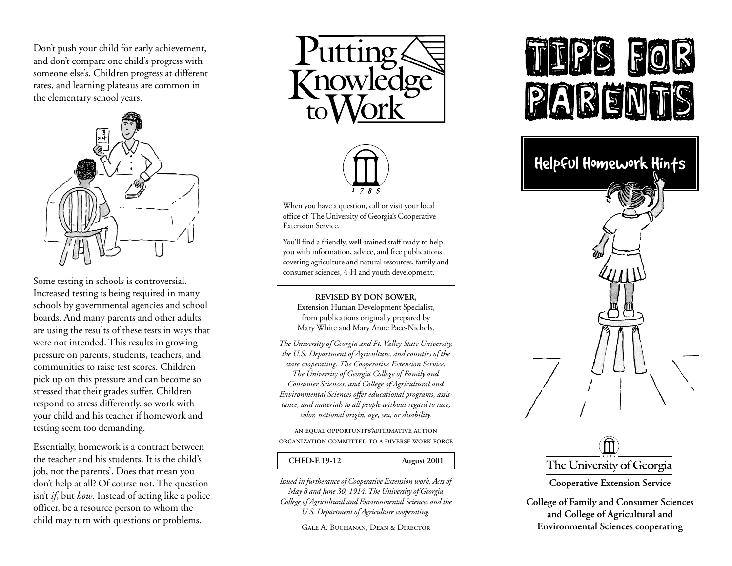Don't push your child for early achievement, and don't compare one child's progress with someone else's. Children progress at different rates, and learning plateaus are common in the elementary school years.



Some testing in schools is controversial. Increased testing is being required in many schools by governmental agencies and school boards. And many parents and other adults are using the results of these tests in ways that were not intended. This results in growing pressure on parents, students, teachers, and communities to raise test scores. Children pick up on this pressure and can become so stressed that their grades suffer. Children respond to stress differently, so work with your child and his teacher if homework and testing seem too demanding.

Essentially, homework is a contract between the teacher and his students. It is the child's job, not the parents'. Does that mean you don't help at all? Of course not. The question isn't *if*, but *how*. Instead of acting like a police officer, be a resource person to whom the child may turn with questions or problems.





When you have a question, call or visit your local office of The University of Georgia's Cooperative Extension Service.

You'll find a friendly, well-trained staff ready to help you with information, advice, and free publications covering agriculture and natural resources, family and consumer sciences, 4-H and youth development.

**REVISED BY DON BOWER,**

Extension Human Development Specialist, from publications originally prepared by Mary White and Mary Anne Pace-Nichols.

*The University of Georgia and Ft. Valley State University, the U.S. Department of Agriculture, and counties of the state cooperating. The Cooperative Extension Service, The University of Georgia College of Family and Consumer Sciences, and College of Agricultural and Environmental Sciences offer educational programs, assistance, and materials to all people without regard to race, color, national origin, age, sex, or disability.*

AN EQUAL OPPORTUNITY AFFIRMATIVE ACTION ORGANIZATION COMMITTED TO A ĐIVERSE WORK FORCE

### **CHFD-E 19-12 August 2001**

*Issued in furtherance of Cooperative Extension work, Acts of May 8 and June 30, 1914. The University of Georgia College of Agricultural and Environmental Sciences and the U.S. Department of Agriculture cooperating.*

Gale A. Buchanan, Dean & Director

# E





**Cooperative Extension Service**

**College of Family and Consumer Sciences and College of Agricultural and Environmental Sciences cooperating**